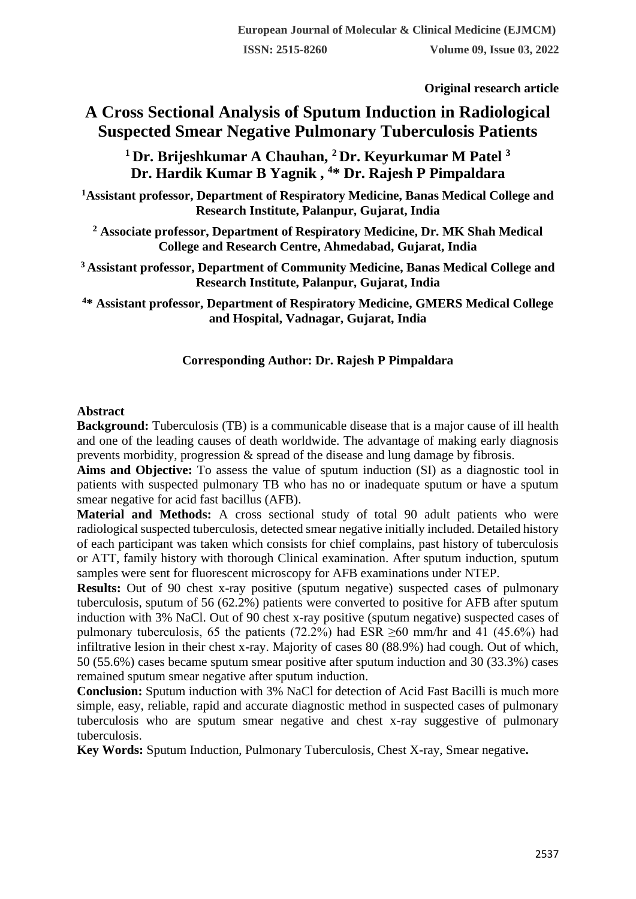**Original research article** 

# **A Cross Sectional Analysis of Sputum Induction in Radiological Suspected Smear Negative Pulmonary Tuberculosis Patients**

**<sup>1</sup>Dr. Brijeshkumar A Chauhan, <sup>2</sup>Dr. Keyurkumar M Patel <sup>3</sup> Dr. Hardik Kumar B Yagnik , <sup>4</sup>\* Dr. Rajesh P Pimpaldara**

**<sup>1</sup>Assistant professor, Department of Respiratory Medicine, Banas Medical College and Research Institute, Palanpur, Gujarat, India**

**<sup>2</sup> Associate professor, Department of Respiratory Medicine, Dr. MK Shah Medical College and Research Centre, Ahmedabad, Gujarat, India**

**<sup>3</sup>Assistant professor, Department of Community Medicine, Banas Medical College and Research Institute, Palanpur, Gujarat, India**

**<sup>4</sup>\* Assistant professor, Department of Respiratory Medicine, GMERS Medical College and Hospital, Vadnagar, Gujarat, India**

# **Corresponding Author: Dr. Rajesh P Pimpaldara**

### **Abstract**

**Background:** Tuberculosis (TB) is a communicable disease that is a major cause of ill health and one of the leading causes of death worldwide. The advantage of making early diagnosis prevents morbidity, progression & spread of the disease and lung damage by fibrosis.

**Aims and Objective:** To assess the value of sputum induction (SI) as a diagnostic tool in patients with suspected pulmonary TB who has no or inadequate sputum or have a sputum smear negative for acid fast bacillus (AFB).

**Material and Methods:** A cross sectional study of total 90 adult patients who were radiological suspected tuberculosis, detected smear negative initially included. Detailed history of each participant was taken which consists for chief complains, past history of tuberculosis or ATT, family history with thorough Clinical examination. After sputum induction, sputum samples were sent for fluorescent microscopy for AFB examinations under NTEP.

**Results:** Out of 90 chest x-ray positive (sputum negative) suspected cases of pulmonary tuberculosis, sputum of 56 (62.2%) patients were converted to positive for AFB after sputum induction with 3% NaCl. Out of 90 chest x-ray positive (sputum negative) suspected cases of pulmonary tuberculosis, 65 the patients (72.2%) had ESR ≥60 mm/hr and 41 (45.6%) had infiltrative lesion in their chest x-ray. Majority of cases 80 (88.9%) had cough. Out of which, 50 (55.6%) cases became sputum smear positive after sputum induction and 30 (33.3%) cases remained sputum smear negative after sputum induction.

**Conclusion:** Sputum induction with 3% NaCl for detection of Acid Fast Bacilli is much more simple, easy, reliable, rapid and accurate diagnostic method in suspected cases of pulmonary tuberculosis who are sputum smear negative and chest x-ray suggestive of pulmonary tuberculosis.

**Key Words:** Sputum Induction, Pulmonary Tuberculosis, Chest X-ray, Smear negative**.**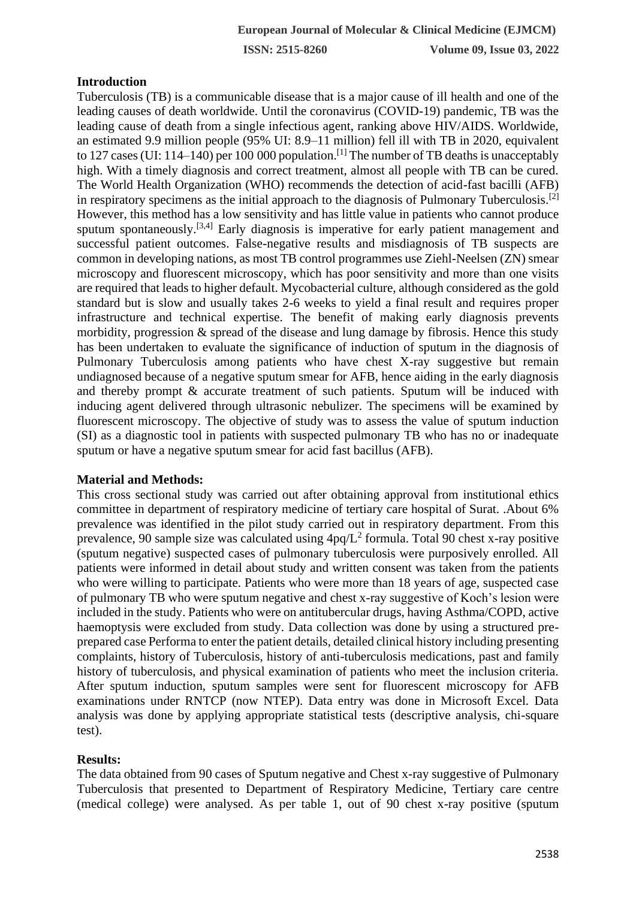### **Introduction**

Tuberculosis (TB) is a communicable disease that is a major cause of ill health and one of the leading causes of death worldwide. Until the coronavirus (COVID-19) pandemic, TB was the leading cause of death from a single infectious agent, ranking above HIV/AIDS. Worldwide, an estimated 9.9 million people (95% UI: 8.9–11 million) fell ill with TB in 2020, equivalent to 127 cases (UI: 114–140) per 100 000 population.<sup>[1]</sup> The number of TB deaths is unacceptably high. With a timely diagnosis and correct treatment, almost all people with TB can be cured. The World Health Organization (WHO) recommends the detection of acid-fast bacilli (AFB) in respiratory specimens as the initial approach to the diagnosis of Pulmonary Tuberculosis.<sup>[2]</sup> However, this method has a low sensitivity and has little value in patients who cannot produce sputum spontaneously.<sup>[3,4]</sup> Early diagnosis is imperative for early patient management and successful patient outcomes. False-negative results and misdiagnosis of TB suspects are common in developing nations, as most TB control programmes use Ziehl-Neelsen (ZN) smear microscopy and fluorescent microscopy, which has poor sensitivity and more than one visits are required that leads to higher default. Mycobacterial culture, although considered as the gold standard but is slow and usually takes 2-6 weeks to yield a final result and requires proper infrastructure and technical expertise. The benefit of making early diagnosis prevents morbidity, progression & spread of the disease and lung damage by fibrosis. Hence this study has been undertaken to evaluate the significance of induction of sputum in the diagnosis of Pulmonary Tuberculosis among patients who have chest X-ray suggestive but remain undiagnosed because of a negative sputum smear for AFB, hence aiding in the early diagnosis and thereby prompt & accurate treatment of such patients. Sputum will be induced with inducing agent delivered through ultrasonic nebulizer. The specimens will be examined by fluorescent microscopy. The objective of study was to assess the value of sputum induction (SI) as a diagnostic tool in patients with suspected pulmonary TB who has no or inadequate sputum or have a negative sputum smear for acid fast bacillus (AFB).

### **Material and Methods:**

This cross sectional study was carried out after obtaining approval from institutional ethics committee in department of respiratory medicine of tertiary care hospital of Surat. .About 6% prevalence was identified in the pilot study carried out in respiratory department. From this prevalence, 90 sample size was calculated using  $4pq/L^2$  formula. Total 90 chest x-ray positive (sputum negative) suspected cases of pulmonary tuberculosis were purposively enrolled. All patients were informed in detail about study and written consent was taken from the patients who were willing to participate. Patients who were more than 18 years of age, suspected case of pulmonary TB who were sputum negative and chest x-ray suggestive of Koch's lesion were included in the study. Patients who were on antitubercular drugs, having Asthma/COPD, active haemoptysis were excluded from study. Data collection was done by using a structured preprepared case Performa to enter the patient details, detailed clinical history including presenting complaints, history of Tuberculosis, history of anti-tuberculosis medications, past and family history of tuberculosis, and physical examination of patients who meet the inclusion criteria. After sputum induction, sputum samples were sent for fluorescent microscopy for AFB examinations under RNTCP (now NTEP). Data entry was done in Microsoft Excel. Data analysis was done by applying appropriate statistical tests (descriptive analysis, chi-square test).

# **Results:**

The data obtained from 90 cases of Sputum negative and Chest x-ray suggestive of Pulmonary Tuberculosis that presented to Department of Respiratory Medicine, Tertiary care centre (medical college) were analysed. As per table 1, out of 90 chest x-ray positive (sputum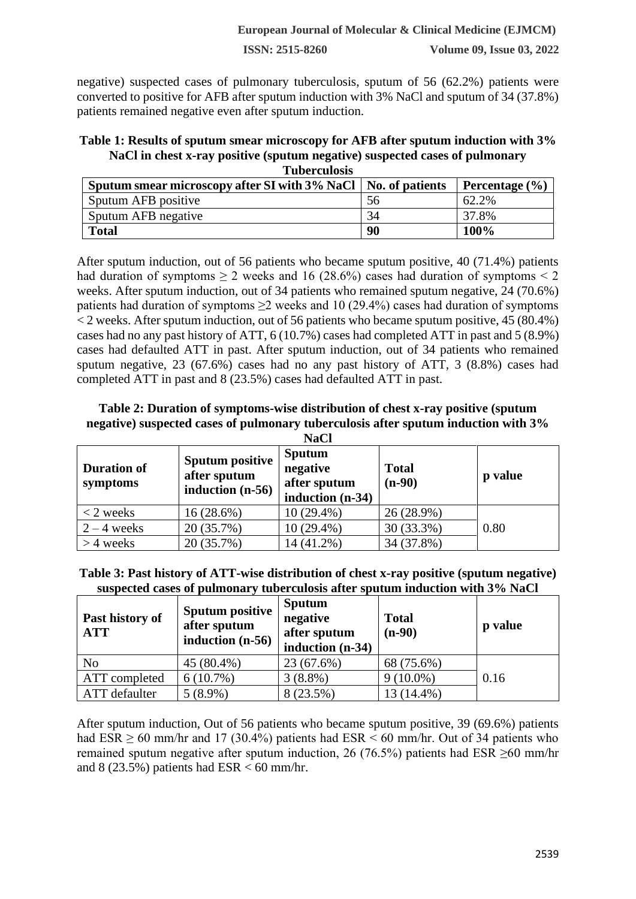**ISSN: 2515-8260 Volume 09, Issue 03, 2022**

negative) suspected cases of pulmonary tuberculosis, sputum of 56 (62.2%) patients were converted to positive for AFB after sputum induction with 3% NaCl and sputum of 34 (37.8%) patients remained negative even after sputum induction.

#### **Table 1: Results of sputum smear microscopy for AFB after sputum induction with 3% NaCl in chest x-ray positive (sputum negative) suspected cases of pulmonary Tuberculosis**

| a ubercurosis<br>Sputum smear microscopy after SI with 3% NaCl   No. of patients |    | Percentage $(\% )$ |
|----------------------------------------------------------------------------------|----|--------------------|
| Sputum AFB positive                                                              | 56 | 62.2%              |
| Sputum AFB negative                                                              | 34 | 37.8%              |
| <b>Total</b>                                                                     | 90 | 100%               |

After sputum induction, out of 56 patients who became sputum positive, 40 (71.4%) patients had duration of symptoms  $\geq 2$  weeks and 16 (28.6%) cases had duration of symptoms  $\leq 2$ weeks. After sputum induction, out of 34 patients who remained sputum negative, 24 (70.6%) patients had duration of symptoms  $\geq$  weeks and 10 (29.4%) cases had duration of symptoms  $\langle 2 \rangle$  weeks. After sputum induction, out of 56 patients who became sputum positive, 45 (80.4%) cases had no any past history of ATT, 6 (10.7%) cases had completed ATT in past and 5 (8.9%) cases had defaulted ATT in past. After sputum induction, out of 34 patients who remained sputum negative, 23 (67.6%) cases had no any past history of ATT, 3 (8.8%) cases had completed ATT in past and 8 (23.5%) cases had defaulted ATT in past.

# **Table 2: Duration of symptoms-wise distribution of chest x-ray positive (sputum negative) suspected cases of pulmonary tuberculosis after sputum induction with 3%**

| <b>NaCl</b>                    |                                                              |                                                               |                          |         |
|--------------------------------|--------------------------------------------------------------|---------------------------------------------------------------|--------------------------|---------|
| <b>Duration of</b><br>symptoms | <b>Sputum positive</b><br>after sputum<br>induction $(n-56)$ | <b>Sputum</b><br>negative<br>after sputum<br>induction (n-34) | <b>Total</b><br>$(n-90)$ | p value |
| $<$ 2 weeks                    | 16 (28.6%)                                                   | $10(29.4\%)$                                                  | 26 (28.9%)               |         |
| $2 - 4$ weeks                  | 20 (35.7%)                                                   | 10 (29.4%)                                                    | 30 (33.3%)               | 0.80    |
| $>$ 4 weeks                    | 20 (35.7%)                                                   | 14 (41.2%)                                                    | 34 (37.8%)               |         |

**Table 3: Past history of ATT-wise distribution of chest x-ray positive (sputum negative) suspected cases of pulmonary tuberculosis after sputum induction with 3% NaCl**

| Past history of<br><b>ATT</b> | <b>Sputum positive</b><br>after sputum<br>induction $(n-56)$ | Sputum<br>negative<br>after sputum<br>induction $(n-34)$ | <b>Total</b><br>$(n-90)$ | p value |
|-------------------------------|--------------------------------------------------------------|----------------------------------------------------------|--------------------------|---------|
| N <sub>o</sub>                | 45 (80.4%)                                                   | 23 (67.6%)                                               | 68 (75.6%)               |         |
| ATT completed                 | $6(10.7\%)$                                                  | $3(8.8\%)$                                               | $9(10.0\%)$              | 0.16    |
| ATT defaulter                 | $5(8.9\%)$                                                   | 8 (23.5%)                                                | 13 (14.4%)               |         |

After sputum induction, Out of 56 patients who became sputum positive, 39 (69.6%) patients had  $ESR \ge 60$  mm/hr and 17 (30.4%) patients had  $ESR \le 60$  mm/hr. Out of 34 patients who remained sputum negative after sputum induction, 26 (76.5%) patients had ESR  $\geq 60$  mm/hr and  $8(23.5\%)$  patients had  $ESR < 60$  mm/hr.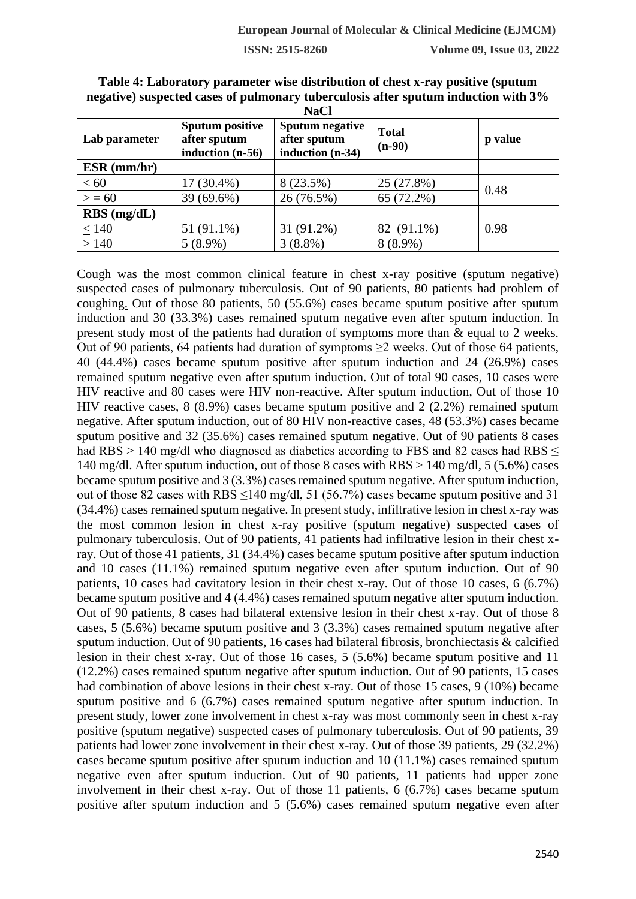| Lab parameter | <b>Sputum positive</b><br>after sputum<br>induction (n-56) | Sputum negative<br><b>Total</b><br>after sputum<br>$(n-90)$<br>induction (n-34) |            | p value |
|---------------|------------------------------------------------------------|---------------------------------------------------------------------------------|------------|---------|
| $ESR$ (mm/hr) |                                                            |                                                                                 |            |         |
| < 60          | 17 (30.4%)                                                 | 8 (23.5%)                                                                       | 25 (27.8%) | 0.48    |
| > 50          | 39 (69.6%)                                                 | 26 (76.5%)                                                                      | 65 (72.2%) |         |
| $RBS$ (mg/dL) |                                                            |                                                                                 |            |         |
| < 140         | 51 (91.1%)                                                 | 31 (91.2%)                                                                      | 82 (91.1%) | 0.98    |
| >140          | $5(8.9\%)$                                                 | $3(8.8\%)$                                                                      | $8(8.9\%)$ |         |

**Table 4: Laboratory parameter wise distribution of chest x-ray positive (sputum negative) suspected cases of pulmonary tuberculosis after sputum induction with 3% NaCl**

Cough was the most common clinical feature in chest x-ray positive (sputum negative) suspected cases of pulmonary tuberculosis. Out of 90 patients, 80 patients had problem of coughing. Out of those 80 patients, 50 (55.6%) cases became sputum positive after sputum induction and 30 (33.3%) cases remained sputum negative even after sputum induction. In present study most of the patients had duration of symptoms more than & equal to 2 weeks. Out of 90 patients, 64 patients had duration of symptoms ≥2 weeks. Out of those 64 patients, 40 (44.4%) cases became sputum positive after sputum induction and 24 (26.9%) cases remained sputum negative even after sputum induction. Out of total 90 cases, 10 cases were HIV reactive and 80 cases were HIV non-reactive. After sputum induction, Out of those 10 HIV reactive cases, 8 (8.9%) cases became sputum positive and 2 (2.2%) remained sputum negative. After sputum induction, out of 80 HIV non-reactive cases, 48 (53.3%) cases became sputum positive and 32 (35.6%) cases remained sputum negative. Out of 90 patients 8 cases had RBS > 140 mg/dl who diagnosed as diabetics according to FBS and 82 cases had RBS < 140 mg/dl. After sputum induction, out of those 8 cases with RBS > 140 mg/dl, 5 (5.6%) cases became sputum positive and 3 (3.3%) cases remained sputum negative. After sputum induction, out of those 82 cases with RBS  $\leq$ 140 mg/dl, 51 (56.7%) cases became sputum positive and 31 (34.4%) cases remained sputum negative. In present study, infiltrative lesion in chest x-ray was the most common lesion in chest x-ray positive (sputum negative) suspected cases of pulmonary tuberculosis. Out of 90 patients, 41 patients had infiltrative lesion in their chest xray. Out of those 41 patients, 31 (34.4%) cases became sputum positive after sputum induction and 10 cases (11.1%) remained sputum negative even after sputum induction. Out of 90 patients, 10 cases had cavitatory lesion in their chest x-ray. Out of those 10 cases, 6 (6.7%) became sputum positive and 4 (4.4%) cases remained sputum negative after sputum induction. Out of 90 patients, 8 cases had bilateral extensive lesion in their chest x-ray. Out of those 8 cases, 5 (5.6%) became sputum positive and 3 (3.3%) cases remained sputum negative after sputum induction. Out of 90 patients, 16 cases had bilateral fibrosis, bronchiectasis & calcified lesion in their chest x-ray. Out of those 16 cases, 5 (5.6%) became sputum positive and 11 (12.2%) cases remained sputum negative after sputum induction. Out of 90 patients, 15 cases had combination of above lesions in their chest x-ray. Out of those 15 cases, 9 (10%) became sputum positive and 6 (6.7%) cases remained sputum negative after sputum induction. In present study, lower zone involvement in chest x-ray was most commonly seen in chest x-ray positive (sputum negative) suspected cases of pulmonary tuberculosis. Out of 90 patients, 39 patients had lower zone involvement in their chest x-ray. Out of those 39 patients, 29 (32.2%) cases became sputum positive after sputum induction and 10 (11.1%) cases remained sputum negative even after sputum induction. Out of 90 patients, 11 patients had upper zone involvement in their chest x-ray. Out of those 11 patients, 6 (6.7%) cases became sputum positive after sputum induction and 5 (5.6%) cases remained sputum negative even after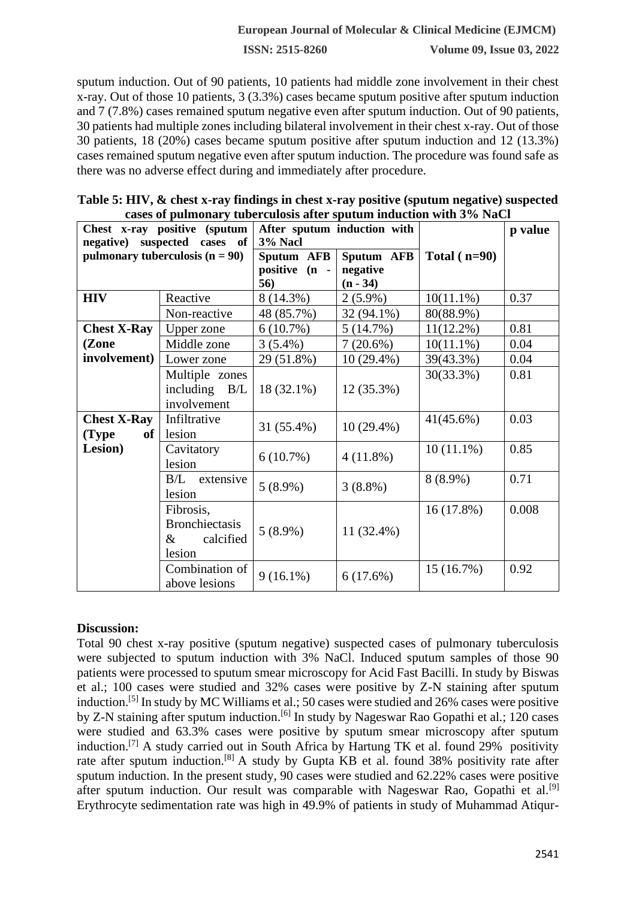### **European Journal of Molecular & Clinical Medicine (EJMCM)**

**ISSN: 2515-8260 Volume 09, Issue 03, 2022**

sputum induction. Out of 90 patients, 10 patients had middle zone involvement in their chest x-ray. Out of those 10 patients, 3 (3.3%) cases became sputum positive after sputum induction and 7 (7.8%) cases remained sputum negative even after sputum induction. Out of 90 patients, 30 patients had multiple zones including bilateral involvement in their chest x-ray. Out of those 30 patients, 18 (20%) cases became sputum positive after sputum induction and 12 (13.3%) cases remained sputum negative even after sputum induction. The procedure was found safe as there was no adverse effect during and immediately after procedure.

| Table 5: HIV, & chest x-ray findings in chest x-ray positive (sputum negative) suspected |
|------------------------------------------------------------------------------------------|
| cases of pulmonary tuberculosis after sputum induction with 3% NaCl                      |

| Chest x-ray positive (sputum<br>of                             |                                                                                  | After sputum induction with<br>3% Nacl |                                      |                           | p value       |
|----------------------------------------------------------------|----------------------------------------------------------------------------------|----------------------------------------|--------------------------------------|---------------------------|---------------|
| negative) suspected cases<br>pulmonary tuberculosis $(n = 90)$ |                                                                                  | Sputum AFB<br>positive (n -<br>56)     | Sputum AFB<br>negative<br>$(n - 34)$ | Total $(n=90)$            |               |
| <b>HIV</b>                                                     | Reactive                                                                         | 8 (14.3%)                              | $2(5.9\%)$                           | $10(11.1\%)$              | 0.37          |
|                                                                | Non-reactive                                                                     | 48 (85.7%)                             | 32 (94.1%)                           | 80(88.9%)                 |               |
| <b>Chest X-Ray</b>                                             | Upper zone                                                                       | 6(10.7%)                               | 5(14.7%)                             | $11(12.2\%)$              | 0.81          |
| (Zone                                                          | Middle zone                                                                      | $3(5.4\%)$                             | 7(20.6%)                             | $10(11.1\%)$              | 0.04          |
| involvement)                                                   | Lower zone                                                                       | 29 (51.8%)                             | $10(29.4\%)$                         | 39(43.3%)                 | 0.04          |
|                                                                | Multiple zones<br>including $B/L$<br>involvement                                 | 18 (32.1%)                             | $12(35.3\%)$                         | 30(33.3%)                 | 0.81          |
| <b>Chest X-Ray</b><br>of<br>(Type                              | Infiltrative<br>lesion                                                           | 31 (55.4%)                             | $10(29.4\%)$                         | $41(45.6\%)$              | 0.03          |
| Lesion)                                                        | Cavitatory<br>lesion                                                             | 6(10.7%)                               | 4(11.8%)                             | $10(11.1\%)$              | 0.85          |
|                                                                | B/L<br>extensive<br>lesion                                                       | $5(8.9\%)$                             | $3(8.8\%)$                           | $8(8.9\%)$                | 0.71          |
|                                                                | Fibrosis,<br><b>Bronchiectasis</b><br>&<br>calcified<br>lesion<br>Combination of | $5(8.9\%)$                             | 11 (32.4%)                           | $16(17.8\%)$<br>15(16.7%) | 0.008<br>0.92 |
|                                                                | above lesions                                                                    | $9(16.1\%)$                            | 6(17.6%)                             |                           |               |

### **Discussion:**

Total 90 chest x-ray positive (sputum negative) suspected cases of pulmonary tuberculosis were subjected to sputum induction with 3% NaCl. Induced sputum samples of those 90 patients were processed to sputum smear microscopy for Acid Fast Bacilli. In study by Biswas et al.; 100 cases were studied and 32% cases were positive by Z-N staining after sputum induction.[5] In study by MC Williams et al.; 50 cases were studied and 26% cases were positive by Z-N staining after sputum induction.<sup>[6]</sup> In study by Nageswar Rao Gopathi et al.; 120 cases were studied and 63.3% cases were positive by sputum smear microscopy after sputum induction.[7] A study carried out in South Africa by Hartung TK et al. found 29% positivity rate after sputum induction.[8] A study by Gupta KB et al. found 38% positivity rate after sputum induction. In the present study, 90 cases were studied and 62.22% cases were positive after sputum induction. Our result was comparable with Nageswar Rao, Gopathi et al.<sup>[9]</sup> Erythrocyte sedimentation rate was high in 49.9% of patients in study of Muhammad Atiqur-